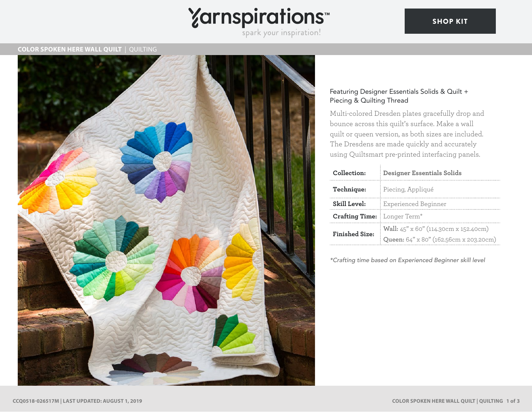# Yarnspirations<sup>\*\*</sup>

## **COLOR SPOKEN HERE WALL QUILT** | QUILTING



## Featuring Designer Essentials Solids & Quilt + Piecing & Quilting Thread

Multi-colored Dresden plates gracefully drop and bounce across this quilt's surface. Make a wall quilt or queen version, as both sizes are included. The Dresdens are made quickly and accurately using Quiltsmart pre-printed interfacing panels.

| Collection:           | <b>Designer Essentials Solids</b>      |
|-----------------------|----------------------------------------|
| Technique:            | Piecing, Appliqué                      |
| Skill Level:          | Experienced Beginner                   |
| <b>Crafting Time:</b> | Longer Term*                           |
| <b>Finished Size:</b> | Wall: 45" x 60" (114.30cm x 152.40cm)  |
|                       | Queen: 64" x 80" (162.56cm x 203.20cm) |

*\*Crafting time based on Experienced Beginner skill level*

## [SHOP KIT](https://www.yarnspirations.com/coats---clark-color-spoken-here-wall-quilt/CCQ0518-026517M.html#utm_source=pdf-yarnspirations&utm_medium=referral&utm_campaign=pdf-CCQ0518-026517M)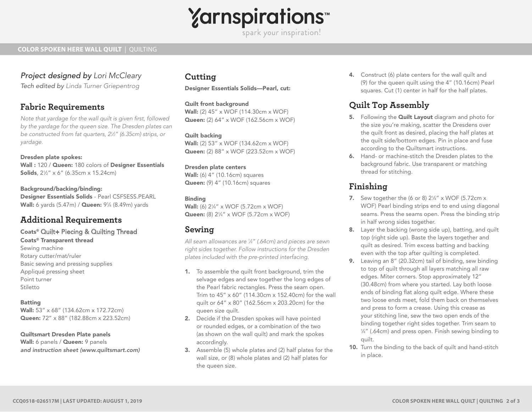

spark your inspiration!

### **COLOR SPOKEN HERE WALL QUILT** | QUILTING

# *Project designed by Lori McCleary*

*Tech edited by Linda Turner Griepentrog* 

## **Fabric Requirements**

*Note that yardage for the wall quilt is given first, followed by the yardage for the queen size. The Dresden plates can be constructed from fat quarters, 21 ⁄2" (6.35cm) strips, or yardage.*

Dresden plate spokes: Wall : 120 / Queen: 180 colors of Designer Essentials **Solids**, 2½" x 6" (6.35cm x 15.24cm)

Background/backing/binding: Designer Essentials Solids - Pearl CSFSESS.PEARL **Wall:** 6 yards (5.47m) / **Queen:** 9¼ (8.49m) yards

# **Additional Requirements**

Coats® Quilt+ Piecing & Quilting Thread Coats® Transparent thread Sewing machine Rotary cutter/mat/ruler Basic sewing and pressing supplies Appliqué pressing sheet

Point turner Stiletto

Batting Wall: 53" x 68" (134.62cm x 172.72cm) Queen: 72" x 88" (182.88cm x 223.52cm)

#### Quiltsmart Dresden Plate panels

Wall: 6 panels / Queen: 9 panels *and instruction sheet (www.quiltsmart.com)*

# **Cutting**

Designer Essentials Solids—Pearl, cut:

Quilt front background Wall: (2) 45" x WOF (114.30cm x WOF) Queen: (2) 64" x WOF (162.56cm x WOF)

Quilt backing Wall: (2) 53" x WOF (134.62cm x WOF) Queen: (2) 88" x WOF (223.52cm x WOF)

Dresden plate centers Wall: (6) 4" (10.16cm) squares Queen: (9) 4" (10.16cm) squares

#### Binding

**Wall:** (6) 2¼" x WOF (5.72cm x WOF) Queen: (8) 21/4" x WOF (5.72cm x WOF)

## **Sewing**

*All seam allowances are 1 ⁄4" (.64cm) and pieces are sewn right sides together. Follow instructions for the Dresden plates included with the pre-printed interfacing.* 

- 1. To assemble the quilt front background, trim the selvage edges and sew together the long edges of the Pearl fabric rectangles. Press the seam open. Trim to 45" x 60" (114.30cm x 152.40cm) for the wall quilt or 64" x 80" (162.56cm x 203.20cm) for the queen size quilt.
- 2. Decide if the Dresden spokes will have pointed or rounded edges, or a combination of the two (as shown on the wall quilt) and mark the spokes accordingly.
- 3. Assemble (5) whole plates and (2) half plates for the wall size, or (8) whole plates and (2) half plates for the queen size.

4. Construct (6) plate centers for the wall quilt and (9) for the queen quilt using the 4" (10.16cm) Pearl squares. Cut (1) center in half for the half plates.

# **Quilt Top Assembly**

- 5. Following the **Quilt Layout** diagram and photo for the size you're making, scatter the Dresdens over the quilt front as desired, placing the half plates at the quilt side/bottom edges. Pin in place and fuse according to the Quiltsmart instructions.
- 6. Hand- or machine-stitch the Dresden plates to the background fabric. Use transparent or matching thread for stitching.

# **Finishing**

- **7.** Sew together the (6 or 8)  $2\frac{1}{4}$ " x WOF (5.72cm x WOF) Pearl binding strips end to end using diagonal seams. Press the seams open. Press the binding strip in half wrong sides together.
- 8. Layer the backing (wrong side up), batting, and quilt top (right side up). Baste the layers together and quilt as desired. Trim excess batting and backing even with the top after quilting is completed.
- 9. Leaving an 8" (20.32cm) tail of binding, sew binding to top of quilt through all layers matching all raw edges. Miter corners. Stop approximately 12" (30.48cm) from where you started. Lay both loose ends of binding flat along quilt edge. Where these two loose ends meet, fold them back on themselves and press to form a crease. Using this crease as your stitching line, sew the two open ends of the binding together right sides together. Trim seam to 1 ⁄4" (.64cm) and press open. Finish sewing binding to quilt.
- 10. Turn the binding to the back of quilt and hand-stitch in place.